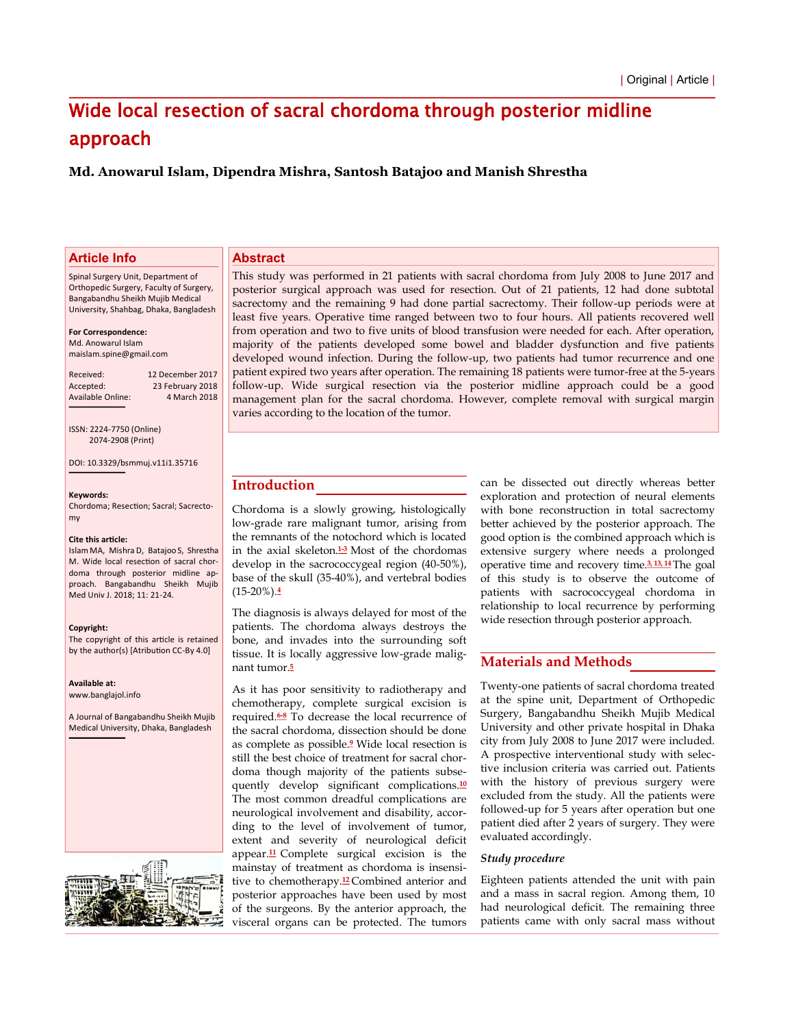# Wide local resection of sacral chordoma through posterior midline approach

**Md. Anowarul Islam, Dipendra Mishra, Santosh Batajoo and Manish Shrestha**

# **Article Info**

Spinal Surgery Unit, Department of Orthopedic Surgery, Faculty of Surgery, Bangabandhu Sheikh Mujib Medical University, Shahbag, Dhaka, Bangladesh

#### **For Correspondence:**

Md. Anowarul Islam maislam.spine@gmail.com

Received: 12 December 2017 Accepted: 23 February 2018<br>Available Online: 4 March 2018 Available Online:

ISSN: 2224-7750 (Online) 2074-2908 (Print)

DOI: 10.3329/bsmmuj.v11i1.35716

#### **Keyǁords:**

Chordoma; Resection; Sacral; Sacrectomy

#### Cite this article:

Islam MA, Mishra D, Batajoo S, Shrestha M. Wide local resection of sacral chordoma through posterior midline approach. Bangabandhu Sheikh Mujib Med Univ J. 2018; 11: 21-24.

#### **Copyright:**

The copyright of this article is retained by the author(s) [Atribution CC-By 4.0]

**Aǀailaďle at:**

www.banglajol.info

A Journal of Bangabandhu Sheikh Mujib Medical University, Dhaka, Bangladesh



# **Abstract**

This study was performed in 21 patients with sacral chordoma from July 2008 to June 2017 and posterior surgical approach was used for resection. Out of 21 patients, 12 had done subtotal sacrectomy and the remaining 9 had done partial sacrectomy. Their follow-up periods were at least five years. Operative time ranged between two to four hours. All patients recovered well from operation and two to five units of blood transfusion were needed for each. After operation, majority of the patients developed some bowel and bladder dysfunction and five patients developed wound infection. During the follow-up, two patients had tumor recurrence and one patient expired two years after operation. The remaining 18 patients were tumor-free at the 5-years follow-up. Wide surgical resection via the posterior midline approach could be a good management plan for the sacral chordoma. However, complete removal with surgical margin varies according to the location of the tumor.

# **Introduction**

Chordoma is a slowly growing, histologically low-grade rare malignant tumor, arising from the remnants of the notochord which is located in the axial skeleton.**1-3** Most of the chordomas develop in the sacrococcygeal region (40-50%), base of the skull (35-40%), and vertebral bodies (15-20%).**<sup>4</sup>**

The diagnosis is always delayed for most of the patients. The chordoma always destroys the bone, and invades into the surrounding soft tissue. It is locally aggressive low-grade malignant tumor.**<sup>5</sup>**

As it has poor sensitivity to radiotherapy and chemotherapy, complete surgical excision is required.**6-8** To decrease the local recurrence of the sacral chordoma, dissection should be done as complete as possible.**<sup>9</sup>** Wide local resection is still the best choice of treatment for sacral chordoma though majority of the patients subsequently develop significant complications.**<sup>10</sup>** The most common dreadful complications are neurological involvement and disability, according to the level of involvement of tumor, extent and severity of neurological deficit appear.**<sup>11</sup>** Complete surgical excision is the mainstay of treatment as chordoma is insensitive to chemotherapy.**<sup>12</sup>** Combined anterior and posterior approaches have been used by most of the surgeons. By the anterior approach, the visceral organs can be protected. The tumors

can be dissected out directly whereas better exploration and protection of neural elements with bone reconstruction in total sacrectomy better achieved by the posterior approach. The good option is the combined approach which is extensive surgery where needs a prolonged operative time and recovery time.**3, 13, 14**The goal of this study is to observe the outcome of patients with sacrococcygeal chordoma in relationship to local recurrence by performing wide resection through posterior approach.

# **Materials and Methods**

Twenty-one patients of sacral chordoma treated at the spine unit, Department of Orthopedic Surgery, Bangabandhu Sheikh Mujib Medical University and other private hospital in Dhaka city from July 2008 to June 2017 were included. A prospective interventional study with selective inclusion criteria was carried out. Patients with the history of previous surgery were excluded from the study. All the patients were followed-up for 5 years after operation but one patient died after 2 years of surgery. They were evaluated accordingly.

## *Study procedure*

Eighteen patients attended the unit with pain and a mass in sacral region. Among them, 10 had neurological deficit. The remaining three patients came with only sacral mass without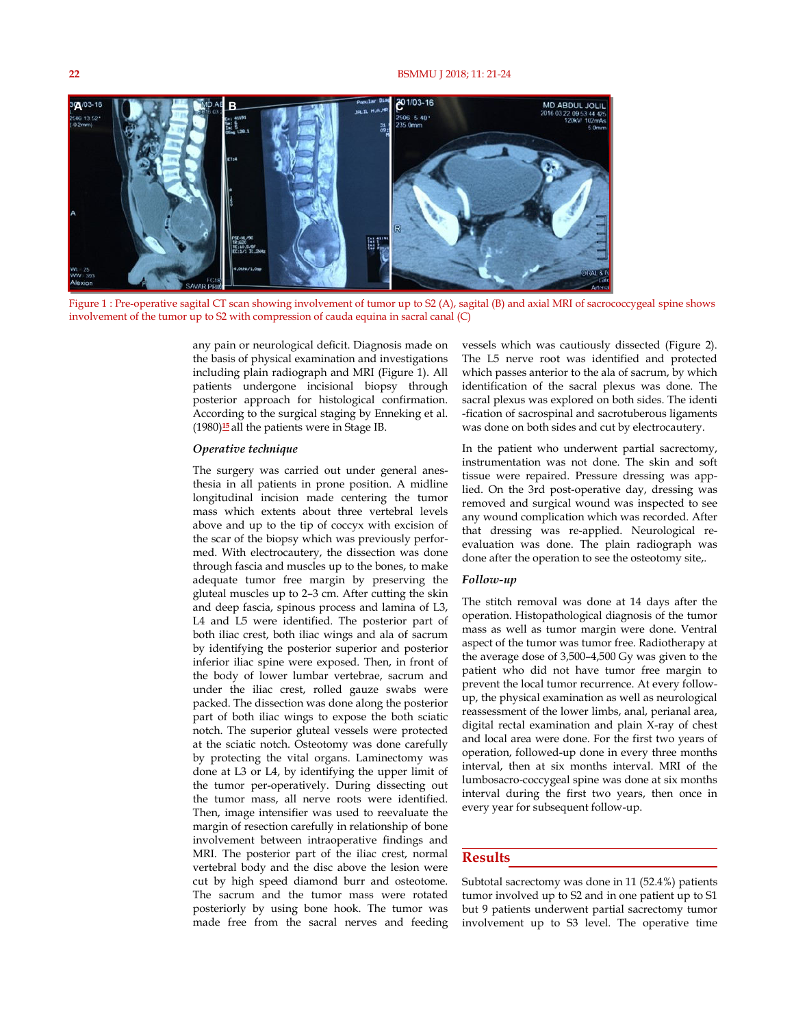### **22** BSMMU J 2018; 11: 21-24



Figure 1 : Pre-operative sagital CT scan showing involvement of tumor up to S2 (A), sagital (B) and axial MRI of sacrococcygeal spine shows involvement of the tumor up to S2 with compression of cauda equina in sacral canal (C)

any pain or neurological deficit. Diagnosis made on the basis of physical examination and investigations including plain radiograph and MRI (Figure 1). All patients undergone incisional biopsy through posterior approach for histological confirmation. According to the surgical staging by Enneking et al. (1980)**<sup>15</sup>** all the patients were in Stage IB.

## *Operative technique*

The surgery was carried out under general anesthesia in all patients in prone position. A midline longitudinal incision made centering the tumor mass which extents about three vertebral levels above and up to the tip of coccyx with excision of the scar of the biopsy which was previously performed. With electrocautery, the dissection was done through fascia and muscles up to the bones, to make adequate tumor free margin by preserving the gluteal muscles up to 2–3 cm. After cutting the skin and deep fascia, spinous process and lamina of L3, L4 and L5 were identified. The posterior part of both iliac crest, both iliac wings and ala of sacrum by identifying the posterior superior and posterior inferior iliac spine were exposed. Then, in front of the body of lower lumbar vertebrae, sacrum and under the iliac crest, rolled gauze swabs were packed. The dissection was done along the posterior part of both iliac wings to expose the both sciatic notch. The superior gluteal vessels were protected at the sciatic notch. Osteotomy was done carefully by protecting the vital organs. Laminectomy was done at L3 or L4, by identifying the upper limit of the tumor per-operatively. During dissecting out the tumor mass, all nerve roots were identified. Then, image intensifier was used to reevaluate the margin of resection carefully in relationship of bone involvement between intraoperative findings and MRI. The posterior part of the iliac crest, normal vertebral body and the disc above the lesion were cut by high speed diamond burr and osteotome. The sacrum and the tumor mass were rotated posteriorly by using bone hook. The tumor was made free from the sacral nerves and feeding

vessels which was cautiously dissected (Figure 2). The L5 nerve root was identified and protected which passes anterior to the ala of sacrum, by which identification of the sacral plexus was done. The sacral plexus was explored on both sides. The identi -fication of sacrospinal and sacrotuberous ligaments was done on both sides and cut by electrocautery.

In the patient who underwent partial sacrectomy, instrumentation was not done. The skin and soft tissue were repaired. Pressure dressing was applied. On the 3rd post-operative day, dressing was removed and surgical wound was inspected to see any wound complication which was recorded. After that dressing was re-applied. Neurological reevaluation was done. The plain radiograph was done after the operation to see the osteotomy site,.

## *Follow-up*

The stitch removal was done at 14 days after the operation. Histopathological diagnosis of the tumor mass as well as tumor margin were done. Ventral aspect of the tumor was tumor free. Radiotherapy at the average dose of 3,500–4,500 Gy was given to the patient who did not have tumor free margin to prevent the local tumor recurrence. At every followup, the physical examination as well as neurological reassessment of the lower limbs, anal, perianal area, digital rectal examination and plain X-ray of chest and local area were done. For the first two years of operation, followed-up done in every three months interval, then at six months interval. MRI of the lumbosacro-coccygeal spine was done at six months interval during the first two years, then once in every year for subsequent follow-up.

## **Results**

Subtotal sacrectomy was done in 11 (52.4%) patients tumor involved up to S2 and in one patient up to S1 but 9 patients underwent partial sacrectomy tumor involvement up to S3 level. The operative time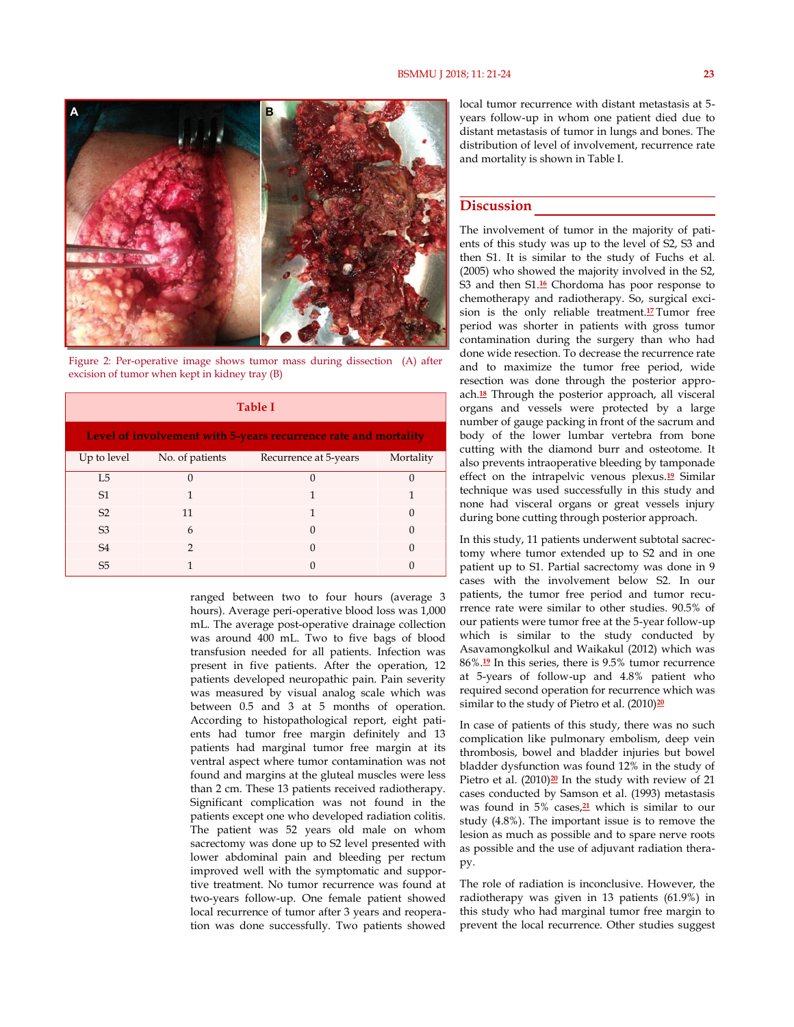

Figure 2: Per-operative image shows tumor mass during dissection (A) after excision of tumor when kept in kidney tray (B)

| <b>Table I</b>                                                  |                             |                       |           |
|-----------------------------------------------------------------|-----------------------------|-----------------------|-----------|
| Level of involvement with 5-years recurrence rate and mortality |                             |                       |           |
|                                                                 | Up to level No. of patients | Recurrence at 5-years | Mortality |
| I.5                                                             | $\Omega$                    | $\Omega$              | $\Omega$  |
| S <sub>1</sub>                                                  | 1                           | 1                     |           |
| S <sub>2</sub>                                                  | 11                          | 1                     | $\Omega$  |
| S <sub>3</sub>                                                  | 6                           | $\Omega$              | $\Omega$  |
| S <sub>4</sub>                                                  | $\mathcal{P}$               | 0                     | $\Omega$  |
| S <sub>5</sub>                                                  |                             | 0                     |           |

ranged between two to four hours (average 3 hours). Average peri-operative blood loss was 1,000 mL. The average post-operative drainage collection was around 400 mL. Two to five bags of blood transfusion needed for all patients. Infection was present in five patients. After the operation, 12 patients developed neuropathic pain. Pain severity was measured by visual analog scale which was between 0.5 and 3 at 5 months of operation. According to histopathological report, eight patients had tumor free margin definitely and 13 patients had marginal tumor free margin at its ventral aspect where tumor contamination was not found and margins at the gluteal muscles were less than 2 cm. These 13 patients received radiotherapy. Significant complication was not found in the patients except one who developed radiation colitis. The patient was 52 years old male on whom sacrectomy was done up to S2 level presented with lower abdominal pain and bleeding per rectum improved well with the symptomatic and supportive treatment. No tumor recurrence was found at two-years follow-up. One female patient showed local recurrence of tumor after 3 years and reoperation was done successfully. Two patients showed

local tumor recurrence with distant metastasis at 5 years follow-up in whom one patient died due to distant metastasis of tumor in lungs and bones. The distribution of level of involvement, recurrence rate and mortality is shown in Table I.

# **Discussion**

The involvement of tumor in the majority of patients of this study was up to the level of S2, S3 and then S1. It is similar to the study of Fuchs et al. (2005) who showed the majority involved in the S2, S3 and then S1.<sup>16</sup> Chordoma has poor response to chemotherapy and radiotherapy. So, surgical excision is the only reliable treatment.**<sup>17</sup>** Tumor free period was shorter in patients with gross tumor contamination during the surgery than who had done wide resection. To decrease the recurrence rate and to maximize the tumor free period, wide resection was done through the posterior approach.**18** Through the posterior approach, all visceral organs and vessels were protected by a large number of gauge packing in front of the sacrum and body of the lower lumbar vertebra from bone cutting with the diamond burr and osteotome. It also prevents intraoperative bleeding by tamponade effect on the intrapelvic venous plexus.**19** Similar technique was used successfully in this study and none had visceral organs or great vessels injury during bone cutting through posterior approach.

In this study, 11 patients underwent subtotal sacrectomy where tumor extended up to S2 and in one patient up to S1. Partial sacrectomy was done in 9 cases with the involvement below S2. In our patients, the tumor free period and tumor recurrence rate were similar to other studies. 90.5% of our patients were tumor free at the 5-year follow-up which is similar to the study conducted by Asavamongkolkul and Waikakul (2012) which was 86%.**19** In this series, there is 9.5% tumor recurrence at 5-years of follow-up and 4.8% patient who required second operation for recurrence which was similar to the study of Pietro et al. (2010)**<sup>20</sup>**

In case of patients of this study, there was no such complication like pulmonary embolism, deep vein thrombosis, bowel and bladder injuries but bowel bladder dysfunction was found 12% in the study of Pietro et al. (2010)<sup>20</sup> In the study with review of 21 cases conducted by Samson et al. (1993) metastasis was found in 5% cases,**21** which is similar to our study (4.8%). The important issue is to remove the lesion as much as possible and to spare nerve roots as possible and the use of adjuvant radiation therapy.

The role of radiation is inconclusive. However, the radiotherapy was given in 13 patients (61.9%) in this study who had marginal tumor free margin to prevent the local recurrence. Other studies suggest